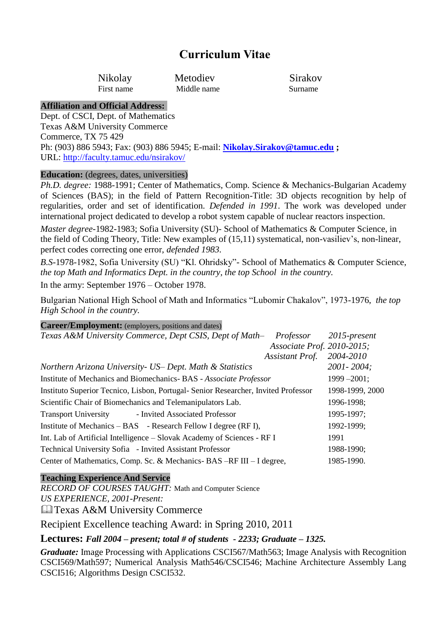# **Curriculum Vitae**

Nikolay Metodiev Sirakov First name Middle name Surname

#### **Affiliation and Official Address:**

Dept. of CSCI, Dept. of Mathematics Texas A&M University Commerce Commerce, TX 75 429 Ph: (903) 886 5943; Fax: (903) 886 5945; E-mail: **[Nikolay.Sirakov@tamuc.edu](mailto:Nikolay.Sirakov@tamuc.edu) ;**  URL:<http://faculty.tamuc.edu/nsirakov/>

#### **Education:** (degrees, dates, universities)

*Ph.D. degree:* 1988-1991; Center of Mathematics, Comp. Science & Mechanics-Bulgarian Academy of Sciences (BAS); in the field of Pattern Recognition-Title: 3D objects recognition by help of regularities, order and set of identification. *Defended in 1991*. The work was developed under international project dedicated to develop a robot system capable of nuclear reactors inspection.

*Master degree-*1982-1983; Sofia University (SU)- School of Mathematics & Computer Science, in the field of Coding Theory, Title: New examples of (15,11) systematical, non-vasiliev's, non-linear, perfect codes correcting one error, *defended 1983.*

*B.S-*1978-1982, Sofia University (SU) "Kl. Ohridsky"- School of Mathematics & Computer Science, *the top Math and Informatics Dept. in the country, the top School in the country.*

In the army: September 1976 – October 1978.

Bulgarian National High School of Math and Informatics "Lubomir Chakalov", 1973-1976, *the top High School in the country.*

### **Career/Employment:** (employers, positions and dates)

| Texas A&M University Commerce, Dept CSIS, Dept of Math-<br>Professor               | $2015$ -present |
|------------------------------------------------------------------------------------|-----------------|
| Associate Prof. 2010-2015;                                                         |                 |
| Assistant Prof.                                                                    | 2004-2010       |
| Northern Arizona University - US - Dept. Math & Statistics                         | $2001 - 2004$ ; |
| Institute of Mechanics and Biomechanics-BAS - Associate Professor                  | $1999 - 2001$ ; |
| Instituto Superior Tecnico, Lisbon, Portugal- Senior Researcher, Invited Professor | 1998-1999, 2000 |
| Scientific Chair of Biomechanics and Telemanipulators Lab.                         | 1996-1998;      |
| <b>Transport University</b><br>- Invited Associated Professor                      | 1995-1997;      |
| Institute of Mechanics – BAS – Research Fellow I degree (RF I),                    | 1992-1999;      |
| Int. Lab of Artificial Intelligence – Slovak Academy of Sciences - RF I            | 1991            |
| Technical University Sofia - Invited Assistant Professor                           | 1988-1990;      |
| Center of Mathematics, Comp. Sc. & Mechanics-BAS -RF III - I degree,               | 1985-1990.      |

### **Teaching Experience And Service**

*RECORD OF COURSES TAUGHT:* Math and Computer Science *US EXPERIENCE, 2001-Present:* **La Texas A&M University Commerce** 

Recipient Excellence teaching Award: in Spring 2010, 2011

### **Lectures:** *Fall 2004 – present; total # of students - 2233; Graduate – 1325.*

*Graduate:* Image Processing with Applications CSCI567/Math563; Image Analysis with Recognition CSCI569/Math597; Numerical Analysis Math546/CSCI546; Machine Architecture Assembly Lang CSCI516; Algorithms Design CSCI532.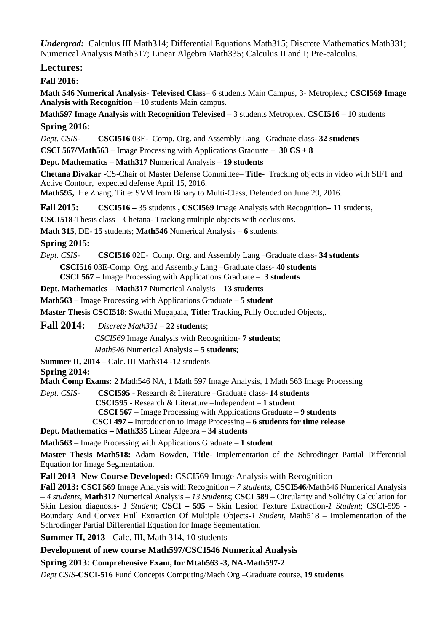*Undergrad:* Calculus III Math314; Differential Equations Math315; Discrete Mathematics Math331; Numerical Analysis Math317; Linear Algebra Math335; Calculus II and I; Pre-calculus.

### **Lectures:**

#### **Fall 2016:**

**Math 546 Numerical Analysis- Televised Class–** 6 students Main Campus, 3- Metroplex.; **CSCI569 Image Analysis with Recognition** – 10 students Main campus.

**Math597 Image Analysis with Recognition Televised –** 3 students Metroplex. **CSCI516** – 10 students **Spring 2016:** 

*Dept. CSIS-* **CSCI516** 03E- Comp. Org. and Assembly Lang –Graduate class- **32 students**

**CSCI 567/Math563** – Image Processing with Applications Graduate – **30 CS + 8** 

**Dept. Mathematics – Math317** Numerical Analysis – **19 students**

**Chetana Divakar** -CS-Chair of Master Defense Committee– **Title**- Tracking objects in video with SIFT and Active Contour, expected defense April 15, 2016.

**Math595,** He Zhang, Title: SVM from Binary to Multi-Class, Defended on June 29, 2016.

**Fall 2015: CSCI516 –** 35 students **, CSCI569** Image Analysis with Recognition**– 11** students,

**CSCI518**-Thesis class – Chetana- Tracking multiple objects with occlusions.

**Math 315**, DE- **15** students; **Math546** Numerical Analysis – **6** students.

**Spring 2015:** 

*Dept. CSIS-* **CSCI516** 02E- Comp. Org. and Assembly Lang –Graduate class- **34 students CSCI516** 03E-Comp. Org. and Assembly Lang –Graduate class- **40 students** 

**CSCI 567** – Image Processing with Applications Graduate – **3 students**

**Dept. Mathematics – Math317** Numerical Analysis – **13 students**

**Math563** – Image Processing with Applications Graduate – **5 student**

**Master Thesis CSCI518**: Swathi Mugapala, **Title:** Tracking Fully Occluded Objects,.

**Fall 2014:** *Discrete Math331* – **22 students**;

*CSCI569* Image Analysis with Recognition- **7 students**;

*Math546* Numerical Analysis – **5 students**;

**Summer II, 2014 –** Calc. III Math314 -12 students

#### **Spring 2014:**

**Math Comp Exams:** 2 Math546 NA, 1 Math 597 Image Analysis, 1 Math 563 Image Processing

*Dept. CSIS-* **CSCI595** - Research & Literature –Graduate class- **14 students CSCI595** - Research & Literature –Independent – **1 student CSCI 567** – Image Processing with Applications Graduate – **9 students CSCI 497 –** Introduction to Image Processing – **6 students for time release**

**Dept. Mathematics – Math335** Linear Algebra – **34 students**

**Math563** – Image Processing with Applications Graduate – **1 student**

**Master Thesis Math518:** Adam Bowden, **Title**- Implementation of the Schrodinger Partial Differential Equation for Image Segmentation.

**Fall 2013- New Course Developed:** CSCI569 Image Analysis with Recognition

**Fall 2013: CSCI 569** Image Analysis with Recognition – *7 students*, **CSCI546**/Math546 Numerical Analysis – *4 students*, **Math317** Numerical Analysis – *13 Students*; **CSCI 589** – Circularity and Solidity Calculation for Skin Lesion diagnosis- *1 Student*; **CSCI – 595** – Skin Lesion Texture Extraction-*1 Student*; CSCI-595 - Boundary And Convex Hull Extraction Of Multiple Objects-*1 Student*, Math518 – Implementation of the Schrodinger Partial Differential Equation for Image Segmentation.

**Summer II, 2013 -** Calc. III, Math 314, 10 students

#### **Development of new course Math597/CSCI546 Numerical Analysis**

**Spring 2013: Comprehensive Exam, for Mtah563 -3, NA-Math597-2**

*Dept CSIS-***CSCI-516** Fund Concepts Computing/Mach Org –Graduate course, **19 students**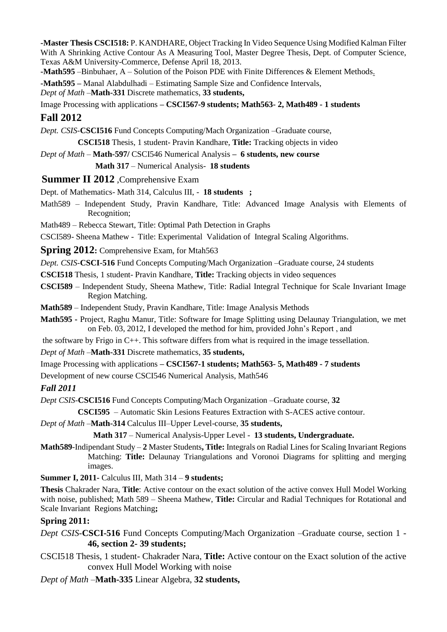**-Master Thesis CSCI518:** P. KANDHARE, Object Tracking In Video Sequence Using Modified Kalman Filter With A Shrinking Active Contour As A Measuring Tool, Master Degree Thesis, Dept. of Computer Science, Texas A&M University-Commerce, Defense April 18, 2013.

**-Math595** [–Binbuhaer, A –](https://ssbprod.tamuc.edu/prod/bwlkosad.P_FacSelectAtypView?xyz=Mjk2MTU0) Solution of the Poison PDE with Finite Differences & Element Methods.

**-Math595 –** Manal Alabdulhadi – Estimating Sample Size and Confidence Intervals,

*Dept of Math* –**Math-331** Discrete mathematics, **33 students,**

Image Processing with applications **– CSCI567-9 students; Math563- 2, Math489 - 1 students**

## **Fall 2012**

*Dept. CSIS-***CSCI516** Fund Concepts Computing/Mach Organization –Graduate course,

**CSCI518** Thesis, 1 student- Pravin Kandhare, **Title:** Tracking objects in video

*Dept of Math* – **Math-597/** CSCI546 Numerical Analysis **– 6 students, new course**

 **Math 317** – Numerical Analysis- **18 students**

### **Summer II 2012** ,Comprehensive Exam

Dept. of Mathematics- Math 314, Calculus III, - **18 students ;**

Math589 – Independent Study, Pravin Kandhare, Title: Advanced Image Analysis with Elements of Recognition;

Math489 – Rebecca Stewart, Title: Optimal Path Detection in Graphs

CSCI589- Sheena Mathew - Title: Experimental Validation of Integral Scaling Algorithms.

**Spring 2012**: Comprehensive Exam, for Mtah563

*Dept. CSIS-***CSCI-516** Fund Concepts Computing/Mach Organization –Graduate course, 24 students

**CSCI518** Thesis, 1 student- Pravin Kandhare, **Title:** Tracking objects in video sequences

**CSCI589** – Independent Study, Sheena Mathew, Title: Radial Integral Technique for Scale Invariant Image Region Matching.

**Math589** – Independent Study, Pravin Kandhare, Title: Image Analysis Methods

**Math595 -** Project, Raghu Manur, Title: Software for Image Splitting using Delaunay Triangulation, we met on Feb. 03, 2012, I developed the method for him, provided John's Report , and

the software by Frigo in C++. This software differs from what is required in the image tessellation.

*Dept of Math* –**Math-331** Discrete mathematics, **35 students,**

Image Processing with applications **– CSCI567-1 students; Math563- 5, Math489 - 7 students**

Development of new course CSCI546 Numerical Analysis, Math546

*Fall 2011*

*Dept CSIS-***CSCI516** Fund Concepts Computing/Mach Organization –Graduate course, **32**

**CSCI595** – Automatic Skin Lesions Features Extraction with S-ACES active contour.

*Dept of Math* –**Math-314** Calculus III–Upper Level-course, **35 students,**

 **Math 317** – Numerical Analysis-Upper Level - **13 students, Undergraduate.**

**Math589**-Indipendant Study – **2** Master Students**, Title:** Integrals on Radial Lines for Scaling Invariant Regions Matching: **Title:** Delaunay Triangulations and Voronoi Diagrams for splitting and merging images.

**Summer I, 2011-** Calculus III, Math 314 – **9 students;** 

**Thesis** Chakrader Nara, **Title**: Active contour on the exact solution of the active convex Hull Model Working with noise, published; Math 589 – Sheena Mathew, **Title:** Circular and Radial Techniques for Rotational and Scale Invariant Regions Matching**;**

### **Spring 2011:**

*Dept CSIS-***CSCI-516** Fund Concepts Computing/Mach Organization –Graduate course, section 1 - **46, section 2- 39 students;**

CSCI518 Thesis, 1 student- Chakrader Nara, **Title:** Active contour on the Exact solution of the active convex Hull Model Working with noise

*Dept of Math* –**Math-335** Linear Algebra, **32 students,**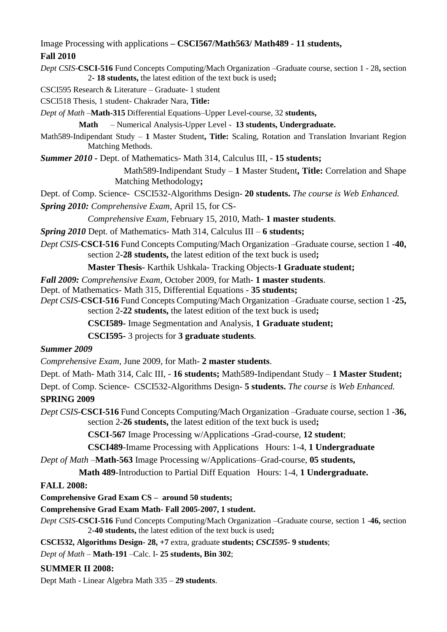Image Processing with applications **– CSCI567/Math563/ Math489 - 11 students,** 

#### **Fall 2010**

*Dept CSIS-***CSCI-516** Fund Concepts Computing/Mach Organization –Graduate course, section 1 - 28**,** section 2**- 18 students,** the latest edition of the text buck is used**;**

CSCI595 Research & Literature – Graduate- 1 student

CSCI518 Thesis, 1 student- Chakrader Nara, **Title:**

*Dept of Math* –**Math-315** Differential Equations–Upper Level-course, 32 **students,**

**Math** – Numerical Analysis-Upper Level - **13 students, Undergraduate.**

Math589-Indipendant Study – **1** Master Student**, Title:** Scaling, Rotation and Translation Invariant Region Matching Methods.

*Summer 2010 -* Dept. of Mathematics- Math 314, Calculus III, - **15 students;**

Math589-Indipendant Study – **1** Master Student**, Title:** Correlation and Shape Matching Methodology**;**

Dept. of Comp. Science- CSCI532-Algorithms Design- **20 students.** *The course is Web Enhanced.*

*Spring 2010: Comprehensive Exam,* April 15, for CS-

*Comprehensive Exam,* February 15, 2010, Math- **1 master students**.

*Spring 2010* Dept. of Mathematics- Math 314, Calculus III – **6 students;**

*Dept CSIS-***CSCI-516** Fund Concepts Computing/Mach Organization –Graduate course, section 1 -**40,**  section 2**-28 students,** the latest edition of the text buck is used**;**

**Master Thesis-** Karthik Ushkala- Tracking Objects-**1 Graduate student;**

*Fall 2009: Comprehensive Exam,* October 2009, for Math- **1 master students**.

Dept. of Mathematics- Math 315, Differential Equations - **35 students;**

*Dept CSIS-***CSCI-516** Fund Concepts Computing/Mach Organization –Graduate course, section 1 -**25,**  section 2**-22 students,** the latest edition of the text buck is used**;**

**CSCI589-** Image Segmentation and Analysis, **1 Graduate student;**

**CSCI595-** 3 projects for **3 graduate students**.

### *Summer 2009*

*Comprehensive Exam,* June 2009, for Math- **2 master students**.

Dept. of Math- Math 314, Calc III, - **16 students;** Math589-Indipendant Study – **1 Master Student;**

Dept. of Comp. Science- CSCI532-Algorithms Design- **5 students.** *The course is Web Enhanced.*

### **SPRING 2009**

*Dept CSIS-***CSCI-516** Fund Concepts Computing/Mach Organization –Graduate course, section 1 -**36,**  section 2**-26 students,** the latest edition of the text buck is used**;**

**CSCI-567** Image Processing w/Applications -Grad-course, **12 student**;

**CSCI489**-Imame Processing with Applications Hours: 1-4, **1 Undergraduate**

*Dept of Math* –**Math-563** Image Processing w/Applications–Grad-course, **05 students,**

**Math 489**-Introduction to Partial Diff Equation Hours: 1-4, **1 Undergraduate.**

### **FALL 2008:**

**Comprehensive Grad Exam CS – around 50 students;**

**Comprehensive Grad Exam Math- Fall 2005-2007, 1 student.**

*Dept CSIS-***CSCI-516** Fund Concepts Computing/Mach Organization –Graduate course, section 1 -**46,** section 2**-40 students,** the latest edition of the text buck is used**;**

**CSCI532, Algorithms Design- 28, +7** extra, graduate **students;** *CSCI595***- 9 students**;

*Dept of Math* – **Math-191** –Calc. I- **25 students, Bin 302**;

### **SUMMER II 2008:**

Dept Math - Linear Algebra Math 335 – **29 students**.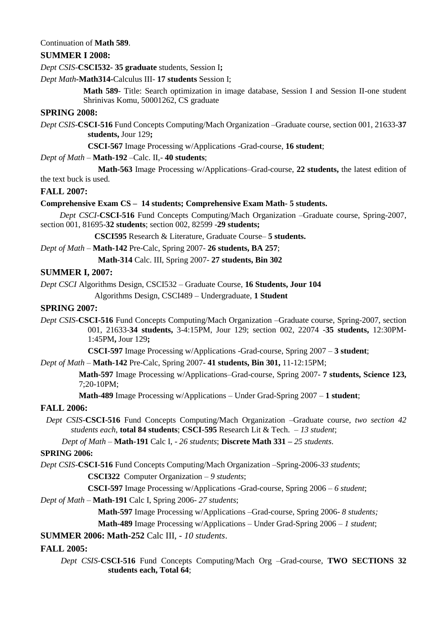#### Continuation of **Math 589**.

#### **SUMMER I 2008:**

*Dept CSIS-***CSCI532- 35 graduate** students, Session I**;**

#### *Dept Math***-Math314-**Calculus III- **17 students** Session I;

**Math 589**- Title: Search optimization in image database, Session I and Session II-one student Shrinivas Komu, 50001262, CS graduate

#### **SPRING 2008:**

*Dept CSIS-***CSCI-516** Fund Concepts Computing/Mach Organization –Graduate course, section 001, 21633-**37 students,** Jour 129**;**

**CSCI-567** Image Processing w/Applications -Grad-course, **16 student**;

#### *Dept of Math* – **Math-192** –Calc. II,- **40 students**;

**Math-563** Image Processing w/Applications–Grad-course, **22 students,** the latest edition of

#### the text buck is used.

#### **FALL 2007:**

#### **Comprehensive Exam CS – 14 students; Comprehensive Exam Math- 5 students.**

*Dept CSCI-***CSCI-516** Fund Concepts Computing/Mach Organization –Graduate course, Spring-2007, section 001, 81695-**32 students**; section 002, 82599 -**29 students;**

**CSCI595** Research & Literature, Graduate Course– **5 students.**

#### *Dept of Math* – **Math-142** Pre-Calc, Spring 2007- **26 students, BA 257**;

**Math-314** Calc. III, Spring 2007- **27 students, Bin 302**

#### **SUMMER I, 2007:**

*Dept CSCI* Algorithms Design, CSCI532 – Graduate Course, **16 Students, Jour 104**

Algorithms Design, CSCI489 – Undergraduate, **1 Student**

#### **SPRING 2007:**

*Dept CSIS-***CSCI-516** Fund Concepts Computing/Mach Organization –Graduate course, Spring-2007, section 001, 21633-**34 students,** 3-4:15PM, Jour 129; section 002, 22074 -**35 students,** 12:30PM-1:45PM**,** Jour 129**;**

**CSCI-597** Image Processing w/Applications -Grad-course, Spring 2007 – **3 student**;

#### *Dept of Math* – **Math-142** Pre-Calc, Spring 2007- **41 students, Bin 301,** 11-12:15PM;

**Math-597** Image Processing w/Applications–Grad-course, Spring 2007- **7 students, Science 123,**  7;20-10PM;

**Math-489** Image Processing w/Applications – Under Grad-Spring 2007 – **1 student**;

#### **FALL 2006:**

*Dept CSIS-***CSCI-516** Fund Concepts Computing/Mach Organization –Graduate course, *two section 42 students each*, **total 84 students**; **CSCI-595** Research Lit & Tech. – *13 student*;

*Dept of Math* – **Math-191** Calc I, - *26 students*; **Discrete Math 331 –** *25 students*.

#### **SPRING 2006:**

*Dept CSIS-***CSCI-516** Fund Concepts Computing/Mach Organization –Spring-2006-*33 students*;

**CSCI322** Computer Organization – *9 students*;

**CSCI-597** Image Processing w/Applications -Grad-course, Spring 2006 – *6 student*;

#### *Dept of Math* – **Math-191** Calc I, Spring 2006- *27 students*;

**Math-597** Image Processing w/Applications –Grad-course, Spring 2006- *8 students;*

**Math-489** Image Processing w/Applications – Under Grad-Spring 2006 – *1 student*;

#### **SUMMER 2006: Math-252** Calc III, - *10 students*.

#### **FALL 2005:**

*Dept CSIS-***CSCI-516** Fund Concepts Computing/Mach Org –Grad-course, **TWO SECTIONS 32 students each, Total 64**;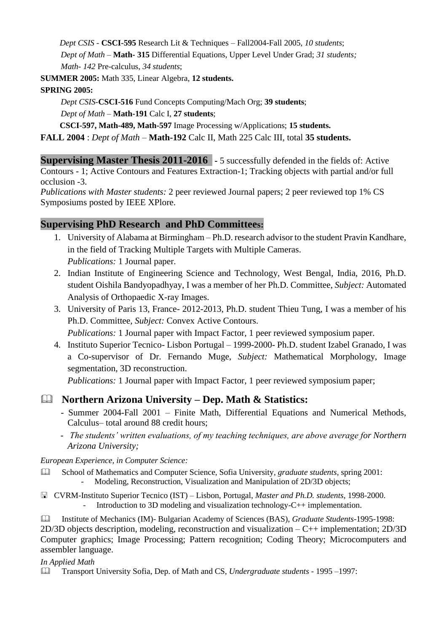*Dept CSIS -* **CSCI-595** Research Lit & Techniques – Fall2004-Fall 2005, *10 students*; *Dept of Math* – **Math- 315** Differential Equations, Upper Level Under Grad; *31 students; Math- 142* Pre-calculus, *34 students*;

**SUMMER 2005:** Math 335, Linear Algebra, **12 students.**

# **SPRING 2005:**

*Dept CSIS-***CSCI-516** Fund Concepts Computing/Mach Org; **39 students**;

*Dept of Math* – **Math-191** Calc I, **27 students**;

**CSCI-597, Math-489, Math-597** Image Processing w/Applications; **15 students.**

**FALL 2004** : *Dept of Math* – **Math-192** Calc II, Math 225 Calc III, total **35 students.**

**Supervising Master Thesis 2011-2016 -** 5 successfully defended in the fields of: Active Contours - 1; Active Contours and Features Extraction-1; Tracking objects with partial and/or full occlusion -3.

*Publications with Master students:* 2 peer reviewed Journal papers; 2 peer reviewed top 1% CS Symposiums posted by IEEE XPlore.

# **Supervising PhD Research and PhD Committees:**

- 1. University of Alabama at Birmingham Ph.D. research advisor to the student Pravin Kandhare, in the field of Tracking Multiple Targets with Multiple Cameras. *Publications:* 1 Journal paper.
- 2. Indian Institute of Engineering Science and Technology, West Bengal, India, 2016, Ph.D. student Oishila Bandyopadhyay, I was a member of her Ph.D. Committee, *Subject:* Automated Analysis of Orthopaedic X-ray Images.
- 3. University of Paris 13, France- 2012-2013, Ph.D. student Thieu Tung, I was a member of his Ph.D. Committee, *Subject:* Convex Active Contours. *Publications:* 1 Journal paper with Impact Factor, 1 peer reviewed symposium paper.
- 4. Instituto Superior Tecnico- Lisbon Portugal 1999-2000- Ph.D. student Izabel Granado, I was a Co-supervisor of Dr. Fernando Muge, *Subject:* Mathematical Morphology, Image segmentation, 3D reconstruction.

*Publications:* 1 Journal paper with Impact Factor, 1 peer reviewed symposium paper;

# **Northern Arizona University – Dep. Math & Statistics:**

- Summer 2004-Fall 2001 Finite Math, Differential Equations and Numerical Methods, Calculus– total around 88 credit hours;
- *The students' written evaluations, of my teaching techniques, are above average for Northern Arizona University;*

*European Experience, in Computer Science:*

 School of Mathematics and Computer Science, Sofia University*, graduate students,* spring 2001: Modeling, Reconstruction, Visualization and Manipulation of 2D/3D objects;

 CVRM-Instituto Superior Tecnico (IST) – Lisbon, Portugal, *Master and Ph.D. students*, 1998-2000. - Introduction to 3D modeling and visualization technology-C++ implementation.

 Institute of Mechanics (IM)- Bulgarian Academy of Sciences (BAS), *Graduate Students*-1995-1998: 2D/3D objects description, modeling, reconstruction and visualization – C++ implementation; 2D/3D Computer graphics; Image Processing; Pattern recognition; Coding Theory; Microcomputers and assembler language.

# *In Applied Math*

Transport University Sofia, Dep. of Math and CS, *Undergraduate students* - 1995 –1997: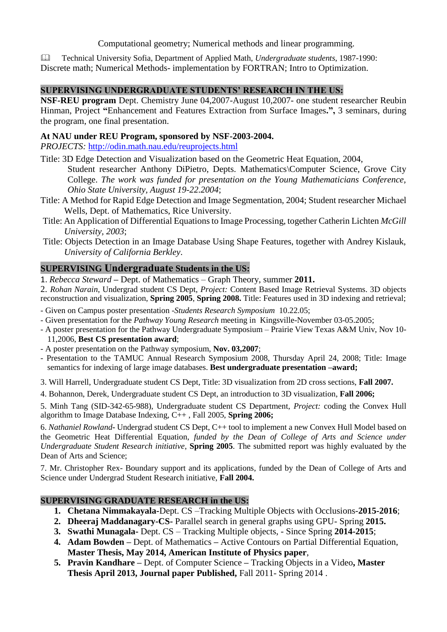### Computational geometry; Numerical methods and linear programming.

 Technical University Sofia, Department of Applied Math, *Undergraduate students*, 1987-1990: Discrete math; Numerical Methods- implementation by FORTRAN; Intro to Optimization.

### **SUPERVISING UNDERGRADUATE STUDENTS' RESEARCH IN THE US:**

**NSF-REU program** Dept. Chemistry June 04,2007-August 10,2007- one student researcher Reubin Hinman, Project **"**Enhancement and Features Extraction from Surface Images**.",** 3 seminars, during the program, one final presentation.

#### **At NAU under REU Program, sponsored by NSF-2003-2004.**

*PROJECTS:* <http://odin.math.nau.edu/reuprojects.html>

Title: 3D Edge Detection and Visualization based on the Geometric Heat Equation, 2004,

Student researcher Anthony DiPietro, Depts. Mathematics\Computer Science, Grove City College. *The work was funded for presentation on the Young Mathematicians Conference, Ohio State University, August 19-22.2004*;

- Title: A Method for Rapid Edge Detection and Image Segmentation, 2004; Student researcher Michael Wells, Dept. of Mathematics, Rice University.
- Title: An Application of Differential Equations to Image Processing, together Catherin Lichten *McGill University, 2003*;
- Title: Objects Detection in an Image Database Using Shape Features, together with Andrey Kislauk, *University of California Berkley*.

## **SUPERVISING Undergraduate Students in the US:**

1. *Rebecca Steward* **–** Dept. of Mathematics – Graph Theory, summer **2011.**

2. *Rohan Narain*, Undergrad student CS Dept, *Project:* Content Based Image Retrieval Systems. 3D objects reconstruction and visualization, **Spring 2005**, **Spring 2008.** Title: Features used in 3D indexing and retrieval;

- Given on Campus poster presentation -*Students Research Symposium* 10.22.05;
- Given presentation for the *Pathway Young Research* meeting in Kingsville-November 03-05.2005;
- A poster presentation for the Pathway Undergraduate Symposium Prairie View Texas A&M Univ, Nov 10- 11,2006, **Best CS presentation award**;
- A poster presentation on the Pathway symposium, **Nov. 03,2007**;
- Presentation to the TAMUC Annual Research Symposium 2008, Thursday April 24, 2008; Title: Image semantics for indexing of large image databases. **Best undergraduate presentation –award;**
- 3. Will Harrell, Undergraduate student CS Dept, Title: 3D visualization from 2D cross sections, **Fall 2007.**
- 4. Bohannon, Derek, Undergraduate student CS Dept, an introduction to 3D visualization, **Fall 2006;**

5. Minh Tang (SID-342-65-988), Undergraduate student CS Department, *Project:* coding the Convex Hull algorithm to Image Database Indexing, C++ , Fall 2005, **Spring 2006;**

6. *Nathaniel Rowland***-** Undergrad student CS Dept, C++ tool to implement a new Convex Hull Model based on the Geometric Heat Differential Equation, *funded by the Dean of College of Arts and Science under Undergraduate Student Research initiative*, **Spring 2005**. The submitted report was highly evaluated by the Dean of Arts and Science;

7. Mr. Christopher Rex- Boundary support and its applications, funded by the Dean of College of Arts and Science under Undergrad Student Research initiative, **Fall 2004.**

#### **SUPERVISING GRADUATE RESEARCH in the US:**

- **1. Chetana Nimmakayala-**Dept. CS –Tracking Multiple Objects with Occlusions-**2015-2016**;
- **2. Dheeraj Maddanagary-CS-** Parallel search in general graphs using GPU- Spring **2015.**
- **3. Swathi Munagala-** Dept. CS Tracking Multiple objects, Since Spring **2014-2015**;
- **4. Adam Bowden –** Dept. of Mathematics **–** Active Contours on Partial Differential Equation, **Master Thesis, May 2014, American Institute of Physics paper**,
- **5. Pravin Kandhare –** Dept. of Computer Science **–** Tracking Objects in a Video**, Master Thesis April 2013, Journal paper Published,** Fall 2011- Spring 2014 .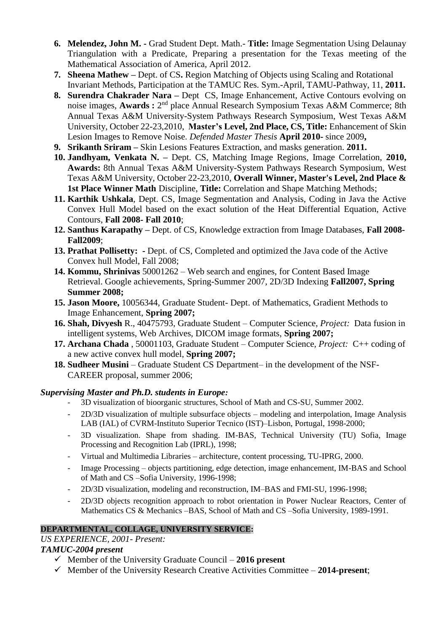- **6. [Melendez, John M. -](https://ssbprod.tamu-commerce.edu/prod/bwlkosad.P_FacSelectAtypView?xyz=Mjg0OTk4)** Grad Student Dept. Math.- **Title:** Image Segmentation Using Delaunay Triangulation with a Predicate, Preparing a presentation for the Texas meeting of the Mathematical Association of America, April 2012.
- **7. Sheena Mathew –** Dept. of CS**.** Region Matching of Objects using Scaling and Rotational Invariant Methods, Participation at the TAMUC Res. Sym.-April, TAMU-Pathway, 11, **2011.**
- **8. Surendra Chakrader Nara –** Dept CS, Image Enhancement, Active Contours evolving on noise images, Awards : 2<sup>nd</sup> place Annual Research Symposium Texas A&M Commerce; 8th Annual Texas A&M University-System Pathways Research Symposium, West Texas A&M University, October 22-23,2010, **Master's Level, 2nd Place, CS, Title:** Enhancement of Skin Lesion Images to Remove Noise. *Defended Master Thesis* **April 2010-** since 2009**,**
- **9. Srikanth Sriram –** Skin Lesions Features Extraction, and masks generation. **2011.**
- **10. [Jandhyam, Venkata N. –](https://ssbprod.tamu-commerce.edu/prod/bwlkosad.P_FacSelectAtypView?xyz=MjUwMTcy)** Dept. CS, Matching Image Regions, Image Correlation, **2010, Awards:** 8th Annual Texas A&M University-System Pathways Research Symposium, West Texas A&M University, October 22-23,2010, **Overall Winner, Master's Level, 2nd Place & 1st Place Winner Math** Discipline, **Title:** Correlation and Shape Matching Methods;
- **11. Karthik Ushkala**, Dept. CS, Image Segmentation and Analysis, Coding in Java the Active Convex Hull Model based on the exact solution of the Heat Differential Equation, Active Contours, **Fall 2008- Fall 2010**;
- **12. Santhus Karapathy –** Dept. of CS, Knowledge extraction from Image Databases, **Fall 2008- Fall2009**;
- **13. Prathat Pollisetty: -** Dept. of CS, Completed and optimized the Java code of the Active Convex hull Model, Fall 2008;
- **14. [Kommu, Shrinivas](https://ssb.tamu-commerce.edu/pls/prod/bwlkosad.P_FacSelectAtypView?stupidm=223910&term=200720)** 50001262 Web search and engines, for Content Based Image Retrieval. Google achievements, Spring-Summer 2007, 2D/3D Indexing **Fall2007, Spring Summer 2008;**
- **15. Jason Moore,** 10056344, Graduate Student- Dept. of Mathematics, Gradient Methods to Image Enhancement, **Spring 2007;**
- **16. Shah, Divyesh** R., 40475793, Graduate Student Computer Science, *Project:* Data fusion in intelligent systems, Web Archives, DICOM image formats, **Spring 2007;**
- **17. Archana Chada** , 50001103, Graduate Student Computer Science, *Project:* C++ coding of a new active convex hull model, **Spring 2007;**
- **18. Sudheer Musini** Graduate Student CS Department– in the development of the NSF-CAREER proposal, summer 2006;

### *Supervising Master and Ph.D. students in Europe:*

- 3D visualization of bioorganic structures, School of Math and CS-SU, Summer 2002.
- 2D/3D visualization of multiple subsurface objects modeling and interpolation, Image Analysis LAB (IAL) of CVRM-Instituto Superior Tecnico (IST)–Lisbon, Portugal, 1998-2000;
- 3D visualization. Shape from shading. IM-BAS, Technical University (TU) Sofia, Image Processing and Recognition Lab (IPRL), 1998;
- Virtual and Multimedia Libraries architecture, content processing, TU-IPRG, 2000.
- Image Processing objects partitioning, edge detection, image enhancement, IM-BAS and School of Math and CS –Sofia University, 1996-1998;
- 2D/3D visualization, modeling and reconstruction, IM–BAS and FMI-SU, 1996-1998;
- 2D/3D objects recognition approach to robot orientation in Power Nuclear Reactors, Center of Mathematics CS & Mechanics –BAS, School of Math and CS –Sofia University, 1989-1991.

### **DEPARTMENTAL, COLLAGE, UNIVERSITY SERVICE:**

### *US EXPERIENCE, 2001- Present:*

### *TAMUC-2004 present*

- $\checkmark$  Member of the University Graduate Council 2016 present
- $\checkmark$  Member of the University Research Creative Activities Committee 2014-present;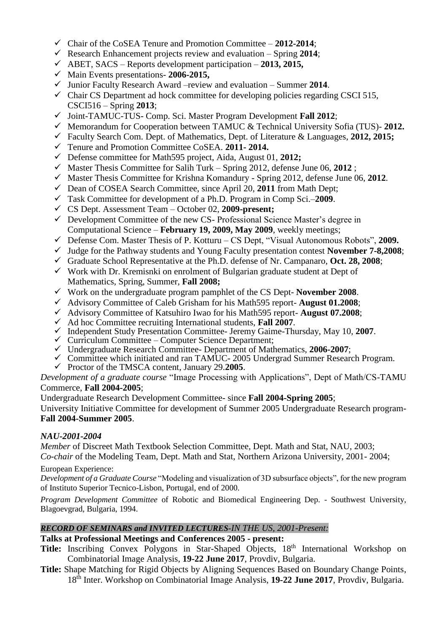- Chair of the CoSEA Tenure and Promotion Committee **2012-2014**;
- Research Enhancement projects review and evaluation Spring  $2014$ ;
- ABET, SACS Reports development participation **2013, 2015,**
- Main Events presentations- **2006-2015,**
- $\checkmark$  Junior Faculty Research Award –review and evaluation Summer 2014.
- $\checkmark$  Chair CS Department ad hock committee for developing policies regarding CSCI 515, CSCI516 – Spring **2013**;
- Joint-TAMUC-TUS- Comp. Sci. Master Program Development **Fall 2012**;
- Memorandum for Cooperation between TAMUC & Technical University Sofia (TUS)- **2012.**
- Faculty Search Com. Dept. of Mathematics, Dept. of Literature & Languages, **2012, 2015;**
- Tenure and Promotion Committee CoSEA. **2011- 2014.**
- Defense committee for Math595 project, Aida, August 01, **2012;**
- $\checkmark$  Master Thesis Committee for Salih Turk Spring 2012, defense June 06, 2012;
- $\checkmark$  Master Thesis Committee for Krishna Komandury Spring 2012, defense June 06, 2012.
- Dean of COSEA Search Committee, since April 20, **2011** from Math Dept;
- Task Committee for development of a Ph.D. Program in Comp Sci.–**2009**.
- CS Dept. Assessment Team *–* October 02, **2009-present;**
- $\checkmark$  Development Committee of the new CS- Professional Science Master's degree in Computational Science – **February 19, 2009, May 2009**, weekly meetings;
- Defense Com. Master Thesis of P. Kotturu CS Dept, "Visual Autonomous Robots", **2009.**
- Judge for the Pathway students and Young Faculty presentation contest **November 7-8,2008**;
- Graduate School Representative at the Ph.D. defense of Nr. Campanaro, **Oct. 28, 2008**;
- $\checkmark$  Work with Dr. Kremisnki on enrolment of Bulgarian graduate student at Dept of Mathematics, Spring, Summer, **Fall 2008;**
- Work on the undergraduate program pamphlet of the CS Dept- **November 2008**.
- Advisory Committee of Caleb Grisham for his Math595 report- **August 01.2008**;
- Advisory Committee of Katsuhiro Iwao for his Math595 report- **August 07.2008**;
- $\checkmark$  Ad hoc Committee recruiting International students, **Fall 2007**.
- Independent Study Presentation Committee- Jeremy Gaime-Thursday, May 10, **2007**.
- $\checkmark$  Curriculum Committee Computer Science Department;
- Undergraduate Research Committee- Department of Mathematics, **2006-2007**;
- Committee which initiated and ran TAMUC- 2005 Undergrad Summer Research Program.
- Proctor of the TMSCA content, January 29.**2005**.

*Development of a graduate course* "Image Processing with Applications", Dept of Math/CS-TAMU Commerce, **Fall 2004-2005**;

Undergraduate Research Development Committee- since **Fall 2004-Spring 2005**;

University Initiative Committee for development of Summer 2005 Undergraduate Research program-**Fall 2004-Summer 2005**.

# *NAU-2001-2004*

*Member* of Discreet Math Textbook Selection Committee, Dept. Math and Stat, NAU, 2003; *Co-chair* of the Modeling Team, Dept. Math and Stat, Northern Arizona University, 2001- 2004;

European Experience:

*Development of a Graduate Course* "Modeling and visualization of 3D subsurface objects", for the new program of Instituto Superior Tecnico-Lisbon, Portugal, end of 2000.

*Program Development Committee* of Robotic and Biomedical Engineering Dep. - Southwest University, Blagoevgrad, Bulgaria, 1994.

# *RECORD OF SEMINARS and INVITED LECTURES-IN THE US, 2001-Present:*

# **Talks at Professional Meetings and Conferences 2005 - present:**

- Title: Inscribing Convex Polygons in Star-Shaped Objects, 18<sup>th</sup> International Workshop on Combinatorial Image Analysis, **19-22 June 2017**, Provdiv, Bulgaria.
- **Title:** Shape Matching for Rigid Objects by Aligning Sequences Based on Boundary Change Points, 18th Inter. Workshop on Combinatorial Image Analysis, **19-22 June 2017**, Provdiv, Bulgaria.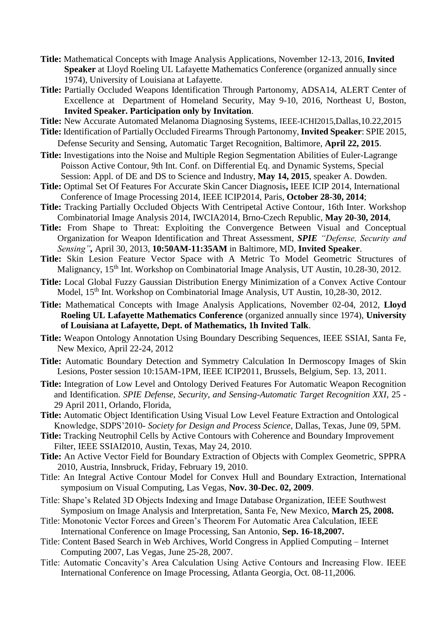- **Title:** Mathematical Concepts with Image Analysis Applications, November 12-13, 2016, **Invited Speaker** at Lloyd Roeling UL Lafayette Mathematics Conference (organized annually since 1974), University of Louisiana at Lafayette.
- Title: Partially Occluded Weapons Identification Through Partonomy, ADSA14, ALERT Center of Excellence at Department of Homeland Security, May 9-10, 2016, Northeast U, Boston, **Invited Speaker. Participation only by Invitation**.

**Title:** New Accurate Automated Melanoma Diagnosing Systems, IEEE-ICHI2015,Dallas,10.22,2015

- **Title:** Identification of Partially Occluded Firearms Through Partonomy, **Invited Speaker**: SPIE 2015, Defense Security and Sensing, Automatic Target Recognition, Baltimore, **April 22, 2015**.
- **Title:** Investigations into the Noise and Multiple Region Segmentation Abilities of Euler-Lagrange Poisson Active Contour, 9th Int. Conf. on Differential Eq. and Dynamic Systems, Special Session: Appl. of DE and DS to Science and Industry, **May 14, 2015**, speaker A. Dowden.
- **Title:** Optimal Set Of Features For Accurate Skin Cancer Diagnosis**,** IEEE ICIP 2014, International Conference of Image Processing 2014, IEEE ICIP2014, Paris, **October 28-30, 2014**;
- **Title:** Tracking Partially Occluded Objects With Centripetal Active Contour, 16th Inter. Workshop Combinatorial Image Analysis 2014, IWCIA2014, Brno-Czech Republic, **May 20-30, 2014**,
- **Title:** From Shape to Threat: Exploiting the Convergence Between Visual and Conceptual Organization for Weapon Identification and Threat Assessment, *SPIE "Defense, Security and Sensing",* April 30, 2013, **10:50AM-11:35AM** in Baltimore, MD, **Invited Speaker**.
- **Title:** Skin Lesion Feature Vector Space with A Metric To Model Geometric Structures of Malignancy, 15<sup>th</sup> Int. Workshop on Combinatorial Image Analysis, UT Austin, 10.28-30, 2012.
- **Title:** Local Global Fuzzy Gaussian Distribution Energy Minimization of a Convex Active Contour Model, 15<sup>th</sup> Int. Workshop on Combinatorial Image Analysis, UT Austin, 10,28-30, 2012.
- **Title:** Mathematical Concepts with Image Analysis Applications, November 02-04, 2012, **Lloyd Roeling UL Lafayette Mathematics Conference** (organized annually since 1974), **University of Louisiana at Lafayette, Dept. of Mathematics, 1h Invited Talk**.
- **Title:** Weapon Ontology Annotation Using Boundary Describing Sequences, IEEE SSIAI, Santa Fe, New Mexico, April 22-24, 2012
- **Title:** Automatic Boundary Detection and Symmetry Calculation In Dermoscopy Images of Skin Lesions, Poster session 10:15AM-1PM, IEEE ICIP2011, Brussels, Belgium, Sep. 13, 2011.
- **Title:** Integration of Low Level and Ontology Derived Features For Automatic Weapon Recognition and Identification. *SPIE Defense, Security, and Sensing-Automatic Target Recognition XXI*, 25 - 29 April 2011, Orlando, Florida,
- **Title:** Automatic Object Identification Using Visual Low Level Feature Extraction and Ontological Knowledge, SDPS'2010- *Society for Design and Process Science*, Dallas, Texas, June 09, 5PM.
- **Title:** Tracking Neutrophil Cells by Active Contours with Coherence and Boundary Improvement Filter, IEEE SSIAI2010, Austin, Texas, May 24, 2010.
- **Title:** An Active Vector Field for Boundary Extraction of Objects with Complex Geometric, SPPRA 2010, Austria, Innsbruck, Friday, February 19, 2010.
- Title: An Integral Active Contour Model for Convex Hull and Boundary Extraction, International symposium on Visual Computing, Las Vegas, **Nov. 30-Dec. 02, 2009**.
- Title: Shape's Related 3D Objects Indexing and Image Database Organization, IEEE Southwest Symposium on Image Analysis and Interpretation, Santa Fe, New Mexico, **March 25, 2008.**
- Title: Monotonic Vector Forces and Green's Theorem For Automatic Area Calculation, IEEE International Conference on Image Processing, San Antonio, **Sep. 16-18,2007.**
- Title: Content Based Search in Web Archives, World Congress in Applied Computing Internet Computing 2007, Las Vegas, June 25-28, 2007.
- Title: Automatic Concavity's Area Calculation Using Active Contours and Increasing Flow. IEEE International Conference on Image Processing, Atlanta Georgia, Oct. 08-11,2006.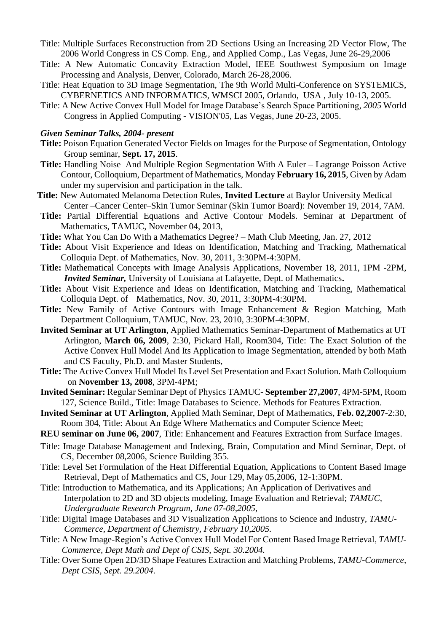- Title: Multiple Surfaces Reconstruction from 2D Sections Using an Increasing 2D Vector Flow, The 2006 World Congress in CS Comp. Eng., and Applied Comp., Las Vegas, June 26-29,2006
- Title: A New Automatic Concavity Extraction Model, IEEE Southwest Symposium on Image Processing and Analysis, Denver, Colorado, March 26-28,2006.
- Title: Heat Equation to 3D Image Segmentation, The 9th World Multi-Conference on SYSTEMICS, CYBERNETICS AND INFORMATICS, WMSCI 2005, Orlando, USA , July 10-13, 2005.
- Title: A New Active Convex Hull Model for Image Database's Search Space Partitioning*, 2005* World Congress in Applied Computing - VISION'05, Las Vegas, June 20-23, 2005.

#### *Given Seminar Talks, 2004- present*

- **Title:** Poison Equation Generated Vector Fields on Images for the Purpose of Segmentation, Ontology Group seminar, **Sept. 17, 2015**.
- **Title:** Handling Noise And Multiple Region Segmentation With A Euler Lagrange Poisson Active Contour, Colloquium, Department of Mathematics, Monday **February 16, 2015**, Given by Adam under my supervision and participation in the talk.
- **Title:** New Automated Melanoma Detection Rules, **Invited Lecture** at Baylor University Medical Center –Cancer Center–Skin Tumor Seminar (Skin Tumor Board): November 19, 2014, 7AM.
- **Title:** Partial Differential Equations and Active Contour Models. Seminar at Department of Mathematics, TAMUC, November 04, 2013,
- **Title:** What You Can Do With a Mathematics Degree? Math Club Meeting, Jan. 27, 2012
- **Title:** About Visit Experience and Ideas on Identification, Matching and Tracking, Mathematical Colloquia Dept. of Mathematics, Nov. 30, 2011, 3:30PM-4:30PM.
- **Title:** Mathematical Concepts with Image Analysis Applications, November 18, 2011, 1PM -2PM, *Invited Seminar,* University of Louisiana at Lafayette, Dept. of Mathematics**.**
- **Title:** About Visit Experience and Ideas on Identification, Matching and Tracking, Mathematical Colloquia Dept. of Mathematics, Nov. 30, 2011, 3:30PM-4:30PM.
- **Title:** New Family of Active Contours with Image Enhancement & Region Matching, Math Department Colloquium, TAMUC, Nov. 23, 2010, 3:30PM-4:30PM.
- **Invited Seminar at UT Arlington**, Applied Mathematics Seminar-Department of Mathematics at UT Arlington, **March 06, 2009**, 2:30, Pickard Hall, Room304, Title: The Exact Solution of the Active Convex Hull Model And Its Application to Image Segmentation, attended by both Math and CS Faculty, Ph.D. and Master Students,
- **Title:** The Active Convex Hull Model Its Level Set Presentation and Exact Solution. Math Colloquium on **November 13, 2008**, 3PM-4PM;
- **Invited Seminar:** Regular Seminar Dept of Physics TAMUC- **September 27,2007**, 4PM-5PM, Room 127, Science Build., Title: Image Databases to Science. Methods for Features Extraction.
- **Invited Seminar at UT Arlington**, Applied Math Seminar, Dept of Mathematics, **Feb. 02,2007**-2:30, Room 304, Title: About An Edge Where Mathematics and Computer Science Meet;
- **REU seminar on June 06, 2007**, Title: Enhancement and Features Extraction from Surface Images.
- Title: Image Database Management and Indexing, Brain, Computation and Mind Seminar, Dept. of CS, December 08,2006, Science Building 355.
- Title: Level Set Formulation of the Heat Differential Equation, Applications to Content Based Image Retrieval, Dept of Mathematics and CS, Jour 129, May 05,2006, 12-1:30PM.
- Title: Introduction to Mathematica, and its Applications; An Application of Derivatives and Interpolation to 2D and 3D objects modeling, Image Evaluation and Retrieval; *TAMUC, Undergraduate Research Program, June 07-08,2005*,
- Title: Digital Image Databases and 3D Visualization Applications to Science and Industry, *TAMU-Commerce, Department of Chemistry, February 10,2005.*
- Title: A New Image-Region's Active Convex Hull Model For Content Based Image Retrieval, *TAMU-Commerce, Dept Math and Dept of CSIS, Sept. 30.2004.*
- Title: Over Some Open 2D/3D Shape Features Extraction and Matching Problems, *TAMU-Commerce, Dept CSIS, Sept. 29.2004.*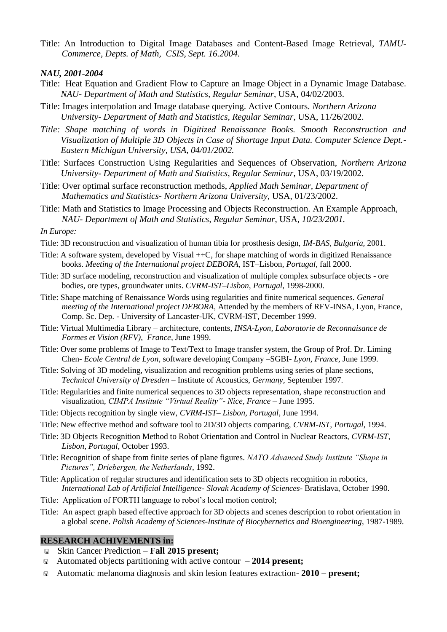Title: An Introduction to Digital Image Databases and Content-Based Image Retrieval, *TAMU-Commerce, Depts. of Math, CSIS, Sept. 16.2004.*

*NAU, 2001-2004*

- Title: Heat Equation and Gradient Flow to Capture an Image Object in a Dynamic Image Database. *NAU- Department of Math and Statistics, Regular Seminar*, USA, 04/02/2003.
- Title: Images interpolation and Image database querying. Active Contours. *Northern Arizona University- Department of Math and Statistics, Regular Seminar*, USA, 11/26/2002.
- *Title: Shape matching of words in Digitized Renaissance Books. Smooth Reconstruction and Visualization of Multiple 3D Objects in Case of Shortage Input Data. Computer Science Dept.- Eastern Michigan University, USA, 04/01/2002.*
- Title: Surfaces Construction Using Regularities and Sequences of Observation, *Northern Arizona University- Department of Math and Statistics, Regular Seminar*, USA, 03/19/2002.
- Title: Over optimal surface reconstruction methods, *Applied Math Seminar, Department of Mathematics and Statistics- Northern Arizona University*, USA, 01/23/2002.
- Title: Math and Statistics to Image Processing and Objects Reconstruction. An Example Approach, *NAU- Department of Math and Statistics, Regular Seminar*, USA, *10/23/2001.*

*In Europe:*

- Title: 3D reconstruction and visualization of human tibia for prosthesis design, *IM-BAS*, *Bulgaria,* 2001.
- Title: A software system, developed by Visual ++C, for shape matching of words in digitized Renaissance books. *Meeting of the International project DEBORA*, IST–Lisbon, *Portugal*, fall 2000.
- Title: 3D surface modeling, reconstruction and visualization of multiple complex subsurface objects ore bodies, ore types, groundwater units. *CVRM-IST–Lisbon, Portugal*, 1998-2000.
- Title: Shape matching of Renaissance Words using regularities and finite numerical sequences. *General meeting of the International project DEBORA,* Attended by the members of RFV-INSA, Lyon, France, Comp. Sc. Dep. - University of Lancaster-UK, CVRM-IST, December 1999.
- Title: Virtual Multimedia Library architecture, contents, *INSA-Lyon, Laboratorie de Reconnaisance de Formes et Vision (RFV)*, *France,* June 1999.
- Title: Over some problems of Image to Text/Text to Image transfer system, the Group of Prof. Dr. Liming Chen- *Ecole Central de Lyon*, software developing Company –SGBI- *Lyon, France,* June 1999.
- Title: Solving of 3D modeling, visualization and recognition problems using series of plane sections, *Technical University of Dresden* – Institute of Acoustics, *Germany,* September 1997.
- Title: Regularities and finite numerical sequences to 3D objects representation, shape reconstruction and visualization, *CIMPA Institute "Virtual Reality"- Nice, France* – June 1995.
- Title: Objects recognition by single view, *CVRM-IST– Lisbon, Portugal*, June 1994.
- Title: New effective method and software tool to 2D/3D objects comparing, *CVRM-IST, Portugal,* 1994.
- Title: 3D Objects Recognition Method to Robot Orientation and Control in Nuclear Reactors, *CVRM-IST, Lisbon, Portugal*, October 1993.
- Title: Recognition of shape from finite series of plane figures. *NATO Advanced Study Institute "Shape in Pictures", Driebergen, the Netherlands*, 1992.
- Title: Application of regular structures and identification sets to 3D objects recognition in robotics, *International Lab of Artificial Intelligence- Slovak Academy of Sciences*- Bratislava, October 1990.
- Title: Application of FORTH language to robot's local motion control;
- Title: An aspect graph based effective approach for 3D objects and scenes description to robot orientation in a global scene. *Polish Academy of Sciences-Institute of Biocybernetics and Bioengineering*, 1987-1989.

#### **RESEARCH ACHIVEMENTS in:**

- Skin Cancer Prediction **Fall 2015 present;**
- Automated objects partitioning with active contour **2014 present;**
- Automatic melanoma diagnosis and skin lesion features extraction- **2010 – present;**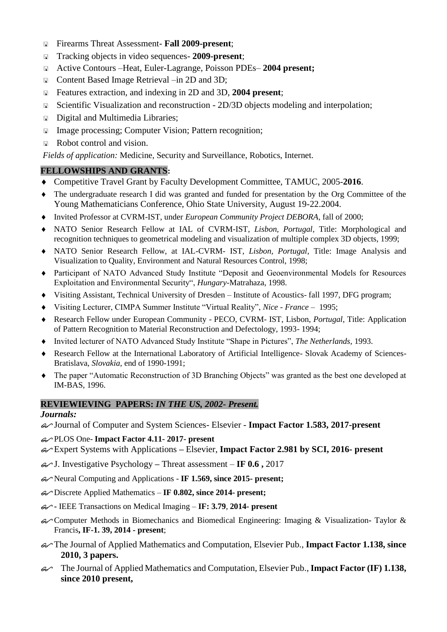- Firearms Threat Assessment- **Fall 2009-present**;
- Tracking objects in video sequences- **2009-present**;
- Active Contours –Heat, Euler-Lagrange, Poisson PDEs– **2004 present;**
- Content Based Image Retrieval –in 2D and 3D;
- Features extraction, and indexing in 2D and 3D, **2004 present**;
- ⊪ <b>Scientific Visualization and reconstruction 2D/3D</b> objects modeling and interpolation;
- Digital and Multimedia Libraries;
- Image processing; Computer Vision; Pattern recognition;
- Robot control and vision.

*Fields of application:* Medicine, Security and Surveillance, Robotics, Internet.

## **FELLOWSHIPS AND GRANTS:**

- Competitive Travel Grant by Faculty Development Committee, TAMUC, 2005-**2016**.
- The undergraduate research I did was granted and funded for presentation by the Org Committee of the Young Mathematicians Conference, Ohio State University, August 19-22.2004.
- Invited Professor at CVRM-IST, under *European Community Project DEBORA*, fall of 2000;
- NATO Senior Research Fellow at IAL of CVRM-IST, *Lisbon, Portugal,* Title: Morphological and recognition techniques to geometrical modeling and visualization of multiple complex 3D objects, 1999;
- NATO Senior Research Fellow, at IAL-CVRM- IST, *Lisbon, Portugal,* Title: Image Analysis and Visualization to Quality, Environment and Natural Resources Control, 1998;
- Participant of NATO Advanced Study Institute "Deposit and Geoenvironmental Models for Resources Exploitation and Environmental Security", *Hungary*-Matrahaza, 1998.
- Visiting Assistant, Technical University of Dresden Institute of Acoustics- fall 1997, DFG program;
- Visiting Lecturer, CIMPA Summer Institute "Virtual Reality", *Nice - France* 1995;
- Research Fellow under European Community PECO, CVRM- IST, Lisbon, *Portugal*, Title: Application of Pattern Recognition to Material Reconstruction and Defectology, 1993- 1994;
- Invited lecturer of NATO Advanced Study Institute "Shape in Pictures", *The Netherlands,* 1993.
- Research Fellow at the International Laboratory of Artificial Intelligence- Slovak Academy of Sciences-Bratislava, *Slovakia,* end of 1990-1991;
- The paper "Automatic Reconstruction of 3D Branching Objects" was granted as the best one developed at IM-BAS, 1996.

### **REVIEWIEVING PAPERS:** *IN THE US, 2002- Present.*

### *Journals:*

Journal of Computer and System Sciences- Elsevier - **Impact Factor 1.583, 2017-present**

### PLOS One- **Impact Factor 4.11- 2017- present**

- Expert Systems with Applications **–** Elsevier, **Impact Factor 2.981 by SCI, 2016- present**
- J. Investigative Psychology **–** Threat assessment **IF 0.6 ,** 2017
- Neural Computing and Applications **IF 1.569, since 2015- present;**
- Discrete Applied Mathematics **IF 0.802, since 2014- present;**
- **-** IEEE Transactions on Medical Imaging **IF: 3.79**, **2014- present**
- Computer Methods in Biomechanics and Biomedical Engineering: Imaging & Visualization**-** Taylor & Francis**, IF-1. 39, 2014 - present**;
- The Journal of Applied Mathematics and Computation, Elsevier Pub., **Impact Factor 1.138, since 2010, 3 papers.**
- The Journal of Applied Mathematics and Computation, Elsevier Pub., **Impact Factor (IF) 1.138, since 2010 present,**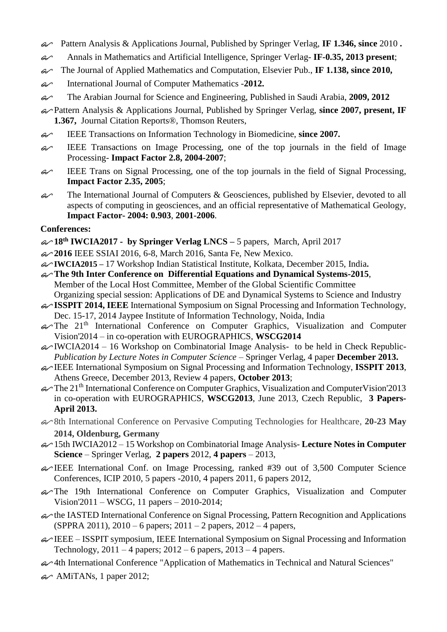- Pattern Analysis & Applications Journal, Published by Springer Verlag, **IF 1.346, since** 2010 **.**
- Annals in Mathematics and Artificial Intelligence, Springer Verlag- **IF-0.35, 2013 present**;
- The Journal of Applied Mathematics and Computation, Elsevier Pub., **IF 1.138, since 2010,**
- International Journal of Computer Mathematics -**2012.**
- The Arabian Journal for Science and Engineering, Published in Saudi Arabia, **2009, 2012**
- Pattern Analysis & Applications Journal, Published by Springer Verlag, **since 2007, present, IF 1.367,** Journal Citation Reports®, Thomson Reuters,
- IEEE Transactions on Information Technology in Biomedicine, **since 2007.**
- $\mathcal{L}$  IEEE Transactions on Image Processing, one of the top journals in the field of Image Processing- **Impact Factor 2.8, 2004-2007**;
- $\mathcal{L}$  IEEE Trans on Signal Processing, one of the top journals in the field of Signal Processing, **Impact Factor 2.35, 2005**;
- $\mathcal{L}$  The International Journal of Computers & Geosciences, published by Elsevier, devoted to all aspects of computing in geosciences, and an official representative of Mathematical Geology, **Impact Factor- 2004: 0.903**, **2001-2006**.

### **Conferences:**

- **18th IWCIA2017 - by Springer Verlag LNCS –** 5 papers, March, April 2017
- **2016** IEEE SSIAI 2016, 6-8, March 2016, Santa Fe, New Mexico.
- **IWCIA2015 –** 17 Workshop Indian Statistical Institute, Kolkata, December 2015, India**.**
- **The 9th Inter Conference on Differential Equations and Dynamical Systems-2015**, Member of the Local Host Committee, Member of the Global Scientific Committee Organizing special session: Applications of DE and Dynamical Systems to Science and Industry
- **ISSPIT 2014, IEEE** International Symposium on Signal Processing and Information Technology, Dec. 15-17, 2014 Jaypee Institute of Information Technology, Noida, India
- $\mathcal{A}$ The 21<sup>th</sup> International Conference on Computer Graphics, Visualization and Computer Vision'2014 – in co-operation with EUROGRAPHICS, **WSCG2014**
- $\alpha$ IWCIA2014 16 Workshop on Combinatorial Image Analysis- to be held in Check Republic-*Publication by Lecture Notes in Computer Science* – Springer Verlag, 4 paper **December 2013.**
- IEEE International Symposium on Signal Processing and Information Technology, **ISSPIT 2013**, Athens Greece, December 2013, Review 4 papers, **October 2013**;
- $\infty$  The 21<sup>th</sup> International Conference on Computer Graphics, Visualization and ComputerVision'2013 in co-operation with EUROGRAPHICS, **WSCG2013**, June 2013, Czech Republic, **3 Papers-April 2013.**
- 8th International Conference on Pervasive Computing Technologies for Healthcare, **20-23 May 2014, Oldenburg, Germany**
- 15th IWCIA2012 15 Workshop on Combinatorial Image Analysis- **Lecture Notes in Computer Science** – Springer Verlag, **2 papers** 2012, **4 papers** – 2013,
- IEEE International Conf. on Image Processing, ranked #39 out of 3,500 Computer Science Conferences, ICIP 2010, 5 papers -2010, 4 papers 2011, 6 papers 2012,
- The 19th International Conference on Computer Graphics, Visualization and Computer Vision'2011 – WSCG, 11 papers – 2010-2014;
- $\ll$  the IASTED International Conference on Signal Processing, Pattern Recognition and Applications (SPPRA 2011), 2010 – 6 papers; 2011 – 2 papers, 2012 – 4 papers,
- $\mathcal{A}$  IEEE ISSPIT symposium, IEEE International Symposium on Signal Processing and Information Technology,  $2011 - 4$  papers;  $2012 - 6$  papers,  $2013 - 4$  papers.
- 4th International Conference "Application of Mathematics in Technical and Natural Sciences"
- $\ll$  AMiTANs, 1 paper 2012;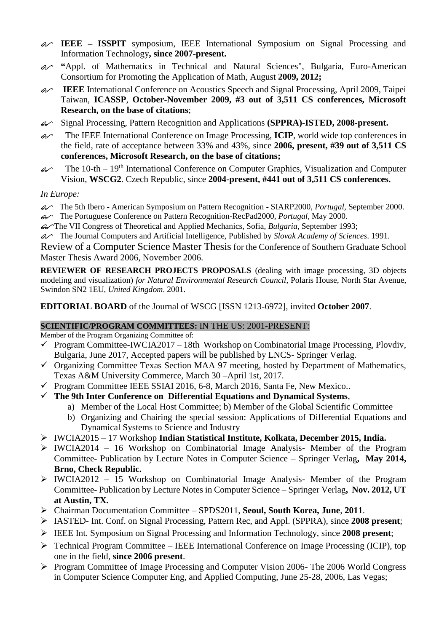- **IEEE – ISSPIT** symposium, IEEE International Symposium on Signal Processing and Information Technology**, since 2007-present.**
- **"**Appl. of Mathematics in Technical and Natural Sciences", Bulgaria, Euro-American Consortium for Promoting the Application of Math, August **2009, 2012;**
- **IEEE** International Conference on Acoustics Speech and Signal Processing, April 2009, Taipei Taiwan, **ICASSP**, **October-November 2009, #3 out of 3,511 CS conferences, Microsoft Research, on the base of citations**;
- Signal Processing, Pattern Recognition and Applications **(SPPRA)-ISTED, 2008-present.**
- The IEEE International Conference on Image Processing, **ICIP**, world wide top conferences in the field, rate of acceptance between 33% and 43%, since **2006, present, #39 out of 3,511 CS conferences, Microsoft Research, on the base of citations;**
- $\mathcal{L}$  The 10-th 19<sup>th</sup> International Conference on Computer Graphics, Visualization and Computer Vision, **WSCG2**. Czech Republic, since **2004-present, #441 out of 3,511 CS conferences.**

*In Europe:*

- The 5th Ibero American Symposium on Pattern Recognition SIARP2000, *Portugal,* September 2000.
- The Portuguese Conference on Pattern Recognition-RecPad2000, *Portugal,* May 2000.
- The VII Congress of Theoretical and Applied Mechanics, Sofia, *Bulgaria*, September 1993;
- The Journal Computers and Artificial Intelligence, Published by *Slovak Academy of Sciences*. 1991.

Review of a Computer Science Master Thesis for the Conference of Southern Graduate School Master Thesis Award 2006, November 2006.

**REVIEWER OF RESEARCH PROJECTS PROPOSALS** (dealing with image processing, 3D objects modeling and visualization) *for Natural Environmental Research Council*, Polaris House, North Star Avenue, Swindon SN2 1EU, *United Kingdom*. 2001.

**EDITORIAL BOARD** of the Journal of WSCG [ISSN 1213-6972], invited **October 2007**.

### **SCIENTIFIC/PROGRAM COMMITTEES:** IN THE US: 2001-PRESENT:

Member of the Program Organizing Committee of:

- $\checkmark$  Program Committee-IWCIA2017 18th Workshop on Combinatorial Image Processing, Plovdiv, Bulgaria, June 2017, Accepted papers will be published by LNCS- Springer Verlag.
- $\checkmark$  Organizing Committee Texas Section MAA 97 meeting, hosted by Department of Mathematics, Texas A&M University Commerce, March 30 –April 1st, 2017.
- $\checkmark$  Program Committee IEEE SSIAI 2016, 6-8, March 2016, Santa Fe, New Mexico..
- **The 9th Inter Conference on Differential Equations and Dynamical Systems**,
	- a) Member of the Local Host Committee; b) Member of the Global Scientific Committee
	- b) Organizing and Chairing the special session: Applications of Differential Equations and Dynamical Systems to Science and Industry
- IWCIA2015 17 Workshop **Indian Statistical Institute, Kolkata, December 2015, India.**
- $\triangleright$  IWCIA2014 16 Workshop on Combinatorial Image Analysis- Member of the Program Committee- Publication by Lecture Notes in Computer Science – Springer Verlag**, May 2014, Brno, Check Republic.**
- $\triangleright$  IWCIA2012 15 Workshop on Combinatorial Image Analysis- Member of the Program Committee- Publication by Lecture Notes in Computer Science – Springer Verlag**, Nov. 2012, UT at Austin, TX.**
- Chairman Documentation Committee SPDS2011, **Seoul, South Korea, June**, **2011**.
- IASTED- Int. Conf. on Signal Processing, Pattern Rec, and Appl. (SPPRA), since **2008 present**;
- IEEE Int. Symposium on Signal Processing and Information Technology, since **2008 present**;
- $\triangleright$  Technical Program Committee IEEE International Conference on Image Processing (ICIP), top one in the field, **since 2006 present**.
- Program Committee of Image Processing and Computer Vision 2006- The 2006 World Congress in Computer Science Computer Eng, and Applied Computing, June 25-28, 2006, Las Vegas;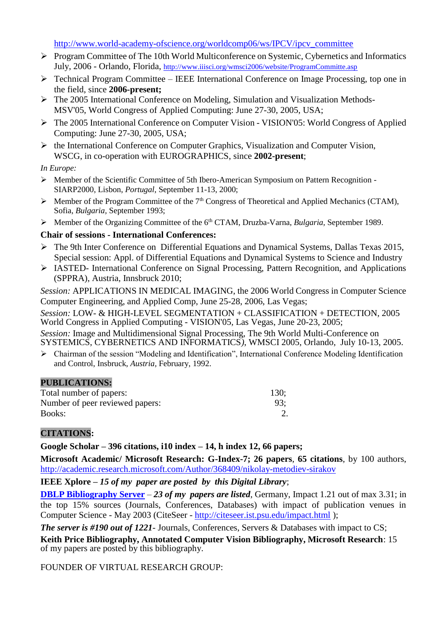[http://www.world-academy-ofscience.org/worldcomp06/ws/IPCV/ipcv\\_committee](http://www.world-academy-ofscience.org/worldcomp06/ws/IPCV/ipcv_committee)

- $\triangleright$  Program Committee of The 10th World Multiconference on Systemic, Cybernetics and Informatics July, 2006 - Orlando, Florida, <http://www.iiisci.org/wmsci2006/website/ProgramCommitte.asp>
- $\triangleright$  Technical Program Committee IEEE International Conference on Image Processing, top one in the field, since **2006-present;**
- The 2005 International Conference on Modeling, Simulation and Visualization Methods-MSV'05, World Congress of Applied Computing: June 27-30, 2005, USA;
- The 2005 International Conference on Computer Vision VISION'05: World Congress of Applied Computing: June 27-30, 2005, USA;
- $\triangleright$  the International Conference on Computer Graphics, Visualization and Computer Vision, WSCG, in co-operation with EUROGRAPHICS, since **2002-present**;

*In Europe:*

- Member of the Scientific Committee of 5th Ibero-American Symposium on Pattern Recognition SIARP2000, Lisbon, *Portugal*, September 11-13, 2000;
- $\triangleright$  Member of the Program Committee of the 7<sup>th</sup> Congress of Theoretical and Applied Mechanics (CTAM), Sofia, *Bulgaria,* September 1993;
- Member of the Organizing Committee of the 6th CTAM, Druzba-Varna, *Bulgaria,* September 1989.

### **Chair of sessions - International Conferences:**

- The 9th Inter Conference on Differential Equations and Dynamical Systems, Dallas Texas 2015, Special session: Appl. of Differential Equations and Dynamical Systems to Science and Industry
- IASTED- International Conference on Signal Processing, Pattern Recognition, and Applications (SPPRA), Austria, Innsbruck 2010;

*Session:* APPLICATIONS IN MEDICAL IMAGING, the 2006 World Congress in Computer Science Computer Engineering, and Applied Comp, June 25-28, 2006, Las Vegas;

*Session:* LOW- & HIGH-LEVEL SEGMENTATION + CLASSIFICATION + DETECTION, 2005 World Congress in Applied Computing - VISION'05*,* Las Vegas, June 20-23, 2005;

*Session:* Image and Multidimensional Signal Processing, The 9th World Multi-Conference on SYSTEMICS, CYBERNETICS AND INFORMATICS*)*, WMSCI 2005, Orlando, July 10-13, 2005.

 Chairman of the session "Modeling and Identification", International Conference Modeling Identification and Control, Insbruck, *Austria,* February, 1992.

#### **PUBLICATIONS:**

| Total number of papers:         | 130: |
|---------------------------------|------|
| Number of peer reviewed papers: | 93:  |
| Books:                          |      |

### **CITATIONS:**

**Google Scholar – 396 citations, i10 index – 14, h index 12, 66 papers;**

**Microsoft Academic/ Microsoft Research: G-Index-7; 26 papers**, **65 citations**, by 100 authors, <http://academic.research.microsoft.com/Author/368409/nikolay-metodiev-sirakov>

**IEEE Xplore –** *15 of my paper are posted by this Digital Library*;

**[DBLP Bibliography Server](http://www.informatik.uni-trier.de/~ley/db/index.html)** – *23 of my papers are listed*, Germany, Impact 1.21 out of max 3.31; in the top 15% sources (Journals, Conferences, Databases) with impact of publication venues in Computer Science - May 2003 (CiteSeer - <http://citeseer.ist.psu.edu/impact.html> );

*The server is #190 out of 1221*- Journals, Conferences, Servers & Databases with impact to CS;

**Keith Price Bibliography, Annotated Computer Vision Bibliography, Microsoft Research**: 15 of my papers are posted by this bibliography.

FOUNDER OF VIRTUAL RESEARCH GROUP: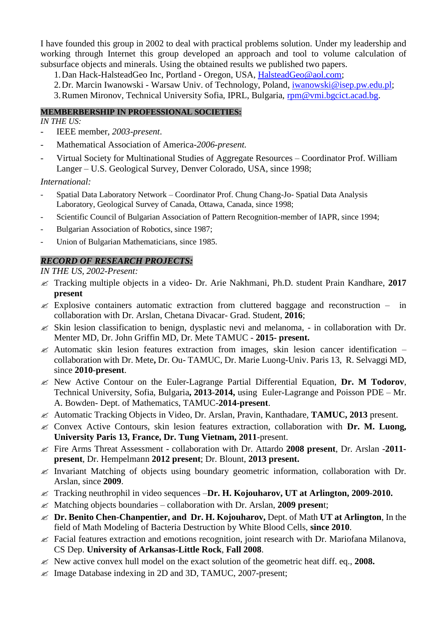I have founded this group in 2002 to deal with practical problems solution. Under my leadership and working through Internet this group developed an approach and tool to volume calculation of subsurface objects and minerals. Using the obtained results we published two papers.

- 1.Dan Hack-HalsteadGeo Inc, Portland Oregon, USA, [HalsteadGeo@aol.com;](mailto:HalsteadGeo@aol.com)
- 2.Dr. Marcin Iwanowski Warsaw Univ. of Technology, Poland, [iwanowski@isep.pw.edu.pl;](mailto:iwanowski@isep.pw.edu.pl)
- 3.Rumen Mironov, Technical University Sofia, IPRL, Bulgaria, [rpm@vmi.bgcict.acad.bg.](mailto:rpm@vmi.bgcict.acad.bg)

#### **MEMBERBERSHIP IN PROFESSIONAL SOCIETIES:**

*IN THE US:*

- IEEE member, *2003-present*.
- Mathematical Association of America-*2006-present.*
- Virtual Society for Multinational Studies of Aggregate Resources Coordinator Prof. William Langer – U.S. Geological Survey, Denver Colorado, USA, since 1998;

*International:*

- Spatial Data Laboratory Network Coordinator Prof. Chung Chang-Jo- Spatial Data Analysis Laboratory, Geological Survey of Canada, Ottawa, Canada, since 1998;
- Scientific Council of Bulgarian Association of Pattern Recognition-member of IAPR, since 1994;
- Bulgarian Association of Robotics, since 1987;
- Union of Bulgarian Mathematicians, since 1985.

#### *RECORD OF RESEARCH PROJECTS:*

*IN THE US, 2002-Present:*

- Tracking multiple objects in a video- Dr. Arie Nakhmani, Ph.D. student Prain Kandhare, **2017 present**
- $\approx$  Explosive containers automatic extraction from cluttered baggage and reconstruction in collaboration with Dr. Arslan, Chetana Divacar- Grad. Student, **2016**;
- $\mathscr{\mathscr{E}}$  Skin lesion classification to benign, dysplastic nevi and melanoma, in collaboration with Dr. Menter MD, Dr. John Griffin MD, Dr. Mete TAMUC - **2015- present.**
- $\approx$  Automatic skin lesion features extraction from images, skin lesion cancer identification collaboration with Dr. Mete**,** Dr. Ou- TAMUC, Dr. Marie Luong-Univ. Paris 13, R. Selvaggi MD, since **2010**-**present**.
- New Active Contour on the Euler-Lagrange Partial Differential Equation, **Dr. M Todorov**, Technical University, Sofia, Bulgaria**, 2013**-**2014,** using Euler-Lagrange and Poisson PDE – Mr. A. Bowden- Dept. of Mathematics, TAMUC-**2014-present**.
- Automatic Tracking Objects in Video, Dr. Arslan, Pravin, Kanthadare, **TAMUC, 2013** present.
- Convex Active Contours, skin lesion features extraction, collaboration with **Dr. M. Luong, University Paris 13, France, Dr. Tung Vietnam, 2011**-present.
- Fire Arms Threat Assessment collaboration with Dr. Attardo **2008 present**, Dr. Arslan -**2011 present**, Dr. Hempelmann **2012 present**; Dr. Blount, **2013 present.**
- $\mathscr{L}$  Invariant Matching of objects using boundary geometric information, collaboration with Dr. Arslan, since **2009**.
- Tracking neuthrophil in video sequences –**Dr. H. Kojouharov, UT at Arlington, 2009**-**2010.**
- Matching objects boundaries collaboration with Dr. Arslan, **2009 presen**t;
- **Dr. Benito Chen-Chanpentier, and Dr. H. Kojouharov,** Dept. of Math **UT at Arlington**, In the field of Math Modeling of Bacteria Destruction by White Blood Cells, **since 2010**.
- $\mathscr{L}$  Facial features extraction and emotions recognition, joint research with Dr. Mariofana Milanova, CS Dep. **University of Arkansas-Little Rock**, **Fall 2008**.
- New active convex hull model on the exact solution of the geometric heat diff. eq., **2008.**
- $\mathscr{L}$  Image Database indexing in 2D and 3D, TAMUC, 2007-present;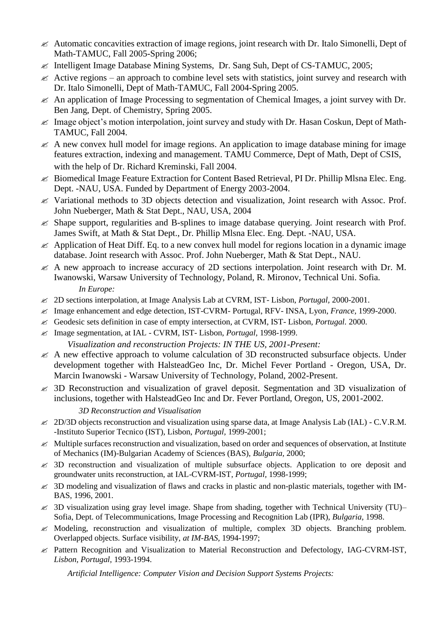- $\mathscr A$  Automatic concavities extraction of image regions, joint research with Dr. Italo Simonelli, Dept of Math-TAMUC, Fall 2005-Spring 2006;
- $\mathcal{L}$  Intelligent Image Database Mining Systems, Dr. Sang Suh, Dept of CS-TAMUC, 2005;
- $\mathscr{\mathscr{L}}$  Active regions an approach to combine level sets with statistics, joint survey and research with Dr. Italo Simonelli, Dept of Math-TAMUC, Fall 2004-Spring 2005.
- $\mathcal{L}$  An application of Image Processing to segmentation of Chemical Images, a joint survey with Dr. Ben Jang, Dept. of Chemistry, Spring 2005.
- $\ll$  Image object's motion interpolation, joint survey and study with Dr. Hasan Coskun, Dept of Math-TAMUC, Fall 2004.
- $\mathscr{\mathscr{L}}$  A new convex hull model for image regions. An application to image database mining for image features extraction, indexing and management. TAMU Commerce, Dept of Math, Dept of CSIS, with the help of Dr. Richard Kreminski, Fall 2004.
- $\approx$  Biomedical Image Feature Extraction for Content Based Retrieval, PI Dr. Phillip MIsna Elec. Eng. Dept. -NAU, USA. Funded by Department of Energy 2003-2004.
- $\mathscr Z$  Variational methods to 3D objects detection and visualization, Joint research with Assoc. Prof. John Nueberger, Math & Stat Dept., NAU, USA, 2004
- $\leq$  Shape support, regularities and B-splines to image database querying. Joint research with Prof. James Swift, at Math & Stat Dept., Dr. Phillip Mlsna Elec. Eng. Dept. -NAU, USA.
- $\&$  Application of Heat Diff. Eq. to a new convex hull model for regions location in a dynamic image database. Joint research with Assoc. Prof. John Nueberger, Math & Stat Dept., NAU.
- $\mathscr{A}$  A new approach to increase accuracy of 2D sections interpolation. Joint research with Dr. M. Iwanowski, Warsaw University of Technology, Poland, R. Mironov, Technical Uni. Sofia. *In Europe:*
- 2D sections interpolation, at Image Analysis Lab at CVRM, IST- Lisbon, *Portugal,* 2000-2001.
- Image enhancement and edge detection, IST-CVRM- Portugal, RFV- INSA, Lyon, *France,* 1999-2000.
- Geodesic sets definition in case of empty intersection, at CVRM, IST- Lisbon, *Portugal.* 2000.
- Image segmentation, at IAL CVRM, IST- Lisbon, *Portugal,* 1998-1999.
	- *Visualization and reconstruction Projects: IN THE US, 2001-Present:*
- $\mathcal{L}$  A new effective approach to volume calculation of 3D reconstructed subsurface objects. Under development together with HalsteadGeo Inc, Dr. Michel Fever Portland - Oregon, USA, Dr. Marcin Iwanowski - Warsaw University of Technology, Poland, 2002-Present.
- $\le$  3D Reconstruction and visualization of gravel deposit. Segmentation and 3D visualization of inclusions, together with HalsteadGeo Inc and Dr. Fever Portland, Oregon, US, 2001-2002.

### *3D Reconstruction and Visualisation*

- $\leq 2D/3D$  objects reconstruction and visualization using sparse data, at Image Analysis Lab (IAL) C.V.R.M. -Instituto Superior Tecnico (IST), Lisbon, *Portugal,* 1999-2001;
- $\ll$  Multiple surfaces reconstruction and visualization, based on order and sequences of observation, at Institute of Mechanics (IM)-Bulgarian Academy of Sciences (BAS), *Bulgaria,* 2000;
- $\leq$  3D reconstruction and visualization of multiple subsurface objects. Application to ore deposit and groundwater units reconstruction, at IAL-CVRM-IST, *Portugal,* 1998-1999;
- $\leq$  3D modeling and visualization of flaws and cracks in plastic and non-plastic materials, together with IM-BAS, 1996, 2001.
- $\leq$  3D visualization using gray level image. Shape from shading, together with Technical University (TU)– Sofia, Dept. of Telecommunications, Image Processing and Recognition Lab (IPR), *Bulgaria,* 1998.
- $\mathscr{L}$  Modeling, reconstruction and visualization of multiple, complex 3D objects. Branching problem. Overlapped objects. Surface visibility, *at IM-BAS,* 1994-1997;
- Pattern Recognition and Visualization to Material Reconstruction and Defectology, IAG-CVRM-IST, *Lisbon, Portugal,* 1993-1994.

*Artificial Intelligence: Computer Vision and Decision Support Systems Projects:*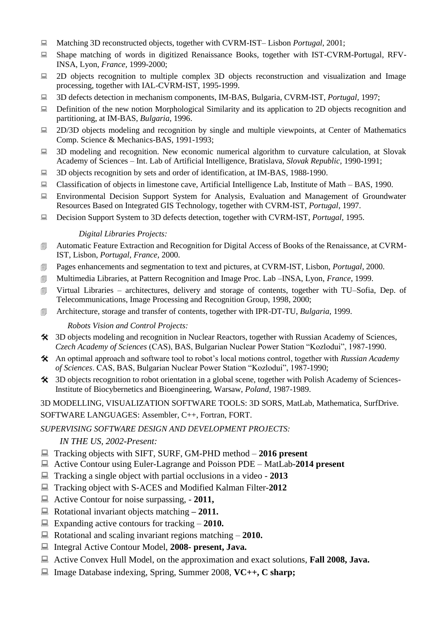- Matching 3D reconstructed objects, together with CVRM-IST– Lisbon *Portugal*, 2001;
- Shape matching of words in digitized Renaissance Books, together with IST-CVRM-Portugal, RFV-INSA, Lyon, *France,* 1999-2000;
- $\Box$  2D objects recognition to multiple complex 3D objects reconstruction and visualization and Image processing, together with IAL-CVRM-IST, 1995-1999.
- 3D defects detection in mechanism components, IM-BAS, Bulgaria, CVRM-IST, *Portugal,* 1997;
- $\Box$  Definition of the new notion Morphological Similarity and its application to 2D objects recognition and partitioning, at IM-BAS, *Bulgaria,* 1996.
- $\Box$  2D/3D objects modeling and recognition by single and multiple viewpoints, at Center of Mathematics Comp. Science & Mechanics-BAS, 1991-1993;
- $\Box$  3D modeling and recognition. New economic numerical algorithm to curvature calculation, at Slovak Academy of Sciences – Int. Lab of Artificial Intelligence, Bratislava, *Slovak Republic,* 1990-1991;
- 3D objects recognition by sets and order of identification, at IM-BAS, 1988-1990.
- Classification of objects in limestone cave, Artificial Intelligence Lab, Institute of Math BAS, 1990.
- Environmental Decision Support System for Analysis, Evaluation and Management of Groundwater Resources Based on Integrated GIS Technology, together with CVRM-IST, *Portugal*, 1997.
- Decision Support System to 3D defects detection, together with CVRM-IST, *Portugal,* 1995.

#### *Digital Libraries Projects:*

- Automatic Feature Extraction and Recognition for Digital Access of Books of the Renaissance, at CVRM-IST, Lisbon, *Portugal*, *France,* 2000.
- Pages enhancements and segmentation to text and pictures, at CVRM-IST, Lisbon, *Portugal,* 2000.
- Multimedia Libraries, at Pattern Recognition and Image Proc. Lab –INSA, Lyon, *France*, 1999.
- Virtual Libraries architectures, delivery and storage of contents, together with TU–Sofia, Dep. of Telecommunications, Image Processing and Recognition Group, 1998, 2000;
- Architecture, storage and transfer of contents, together with IPR-DT-TU, *Bulgaria*, 1999.

#### *Robots Vision and Control Projects:*

- 3D objects modeling and recognition in Nuclear Reactors, together with Russian Academy of Sciences, *Czech Academy of Sciences* (CAS), BAS, Bulgarian Nuclear Power Station "Kozlodui", 1987-1990.
- An optimal approach and software tool to robot's local motions control, together with *Russian Academy of Sciences*. CAS, BAS, Bulgarian Nuclear Power Station "Kozlodui", 1987-1990;
- 3D objects recognition to robot orientation in a global scene, together with Polish Academy of Sciences-Institute of Biocybernetics and Bioengineering, Warsaw, *Poland,* 1987-1989.

3D MODELLING, VISUALIZATION SOFTWARE TOOLS: 3D SORS, MatLab, Mathematica, SurfDrive. SOFTWARE LANGUAGES: Assembler, C++, Fortran, FORT.

#### *SUPERVISING SOFTWARE DESIGN AND DEVELOPMENT PROJECTS:*

#### *IN THE US, 2002-Present:*

- Tracking objects with SIFT, SURF, GM-PHD method **2016 present**
- Active Contour using Euler-Lagrange and Poisson PDE MatLab-**2014 present**
- Tracking a single object with partial occlusions in a video **2013**
- Tracking object with S-ACES and Modified Kalman Filter-**2012**
- Active Contour for noise surpassing, **2011,**
- Rotational invariant objects matching **– 2011.**
- Expanding active contours for tracking **2010.**
- Rotational and scaling invariant regions matching **2010.**
- Integral Active Contour Model, **2008- present, Java.**
- Active Convex Hull Model, on the approximation and exact solutions, **Fall 2008, Java.**
- Image Database indexing, Spring, Summer 2008, **VC++, C sharp;**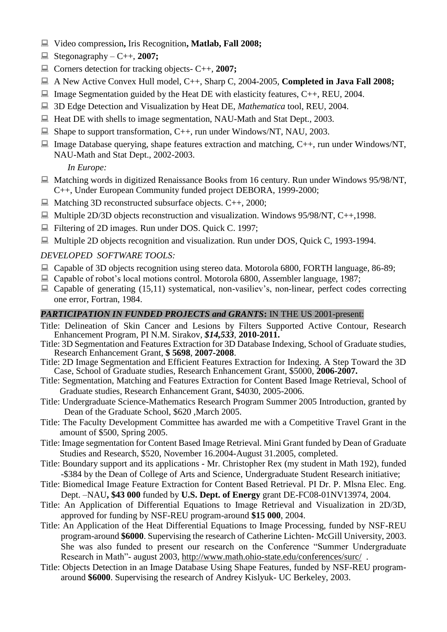- Video compression**,** Iris Recognition**, Matlab, Fall 2008;**
- $\Box$  Stegonagraphy C++, 2007;
- Corners detection for tracking objects- C++, **2007;**
- A New Active Convex Hull model, C++, Sharp C, 2004-2005, **Completed in Java Fall 2008;**
- $\Box$  Image Segmentation guided by the Heat DE with elasticity features, C++, REU, 2004.
- 3D Edge Detection and Visualization by Heat DE, *Mathematica* tool, REU, 2004.
- $\Box$  Heat DE with shells to image segmentation, NAU-Math and Stat Dept., 2003.
- $\Box$  Shape to support transformation, C++, run under Windows/NT, NAU, 2003.
- $\Box$  Image Database querying, shape features extraction and matching, C++, run under Windows/NT, NAU-Math and Stat Dept., 2002-2003.

*In Europe:*

- Matching words in digitized Renaissance Books from 16 century. Run under Windows 95/98/NT, C++, Under European Community funded project DEBORA, 1999-2000;
- $\Box$  Matching 3D reconstructed subsurface objects. C++, 2000;
- $\Box$  Multiple 2D/3D objects reconstruction and visualization. Windows 95/98/NT, C++,1998.
- Filtering of 2D images. Run under DOS. Quick C. 1997;
- Multiple 2D objects recognition and visualization. Run under DOS, Quick C, 1993-1994.

### *DEVELOPED SOFTWARE TOOLS:*

- Capable of 3D objects recognition using stereo data. Motorola 6800, FORTH language, 86-89;
- $\Box$  Capable of robot's local motions control. Motorola 6800, Assembler language, 1987;
- $\Box$  Capable of generating (15,11) systematical, non-vasiliev's, non-linear, perfect codes correcting one error, Fortran, 1984.

### *PARTICIPATION IN FUNDED PROJECTS and GRANTS***:** IN THE US 2001-present:

- Title: Delineation of Skin Cancer and Lesions by Filters Supported Active Contour, Research Enhancement Program, PI N.M. Sirakov, *\$14,533*, **2010-2011.**
- Title: 3D Segmentation and Features Extraction for 3D Database Indexing, School of Graduate studies, Research Enhancement Grant, **\$ 5698**, **2007-2008**.
- Title: 2D Image Segmentation and Efficient Features Extraction for Indexing. A Step Toward the 3D Case, School of Graduate studies, Research Enhancement Grant, \$5000, **2006-2007.**
- Title: Segmentation, Matching and Features Extraction for Content Based Image Retrieval, School of Graduate studies, Research Enhancement Grant, \$4030, 2005-2006.
- Title: Undergraduate Science-Mathematics Research Program Summer 2005 Introduction, granted by Dean of the Graduate School, \$620 ,March 2005.
- Title: The Faculty Development Committee has awarded me with a Competitive Travel Grant in the amount of \$500, Spring 2005.
- Title: Image segmentation for Content Based Image Retrieval. Mini Grant funded by Dean of Graduate Studies and Research, \$520, November 16.2004-August 31.2005, completed.
- Title: Boundary support and its applications Mr. Christopher Rex (my student in Math 192), funded -\$384 by the Dean of College of Arts and Science, Undergraduate Student Research initiative;
- Title: Biomedical Image Feature Extraction for Content Based Retrieval. PI Dr. P. Mlsna Elec. Eng. Dept. –NAU**, \$43 000** funded by **U.S. Dept. of Energy** grant DE-FC08-01NV13974, 2004.
- Title: An Application of Differential Equations to Image Retrieval and Visualization in 2D/3D, approved for funding by NSF-REU program-around **\$15 000**, 2004.
- Title: An Application of the Heat Differential Equations to Image Processing, funded by NSF-REU program-around **\$6000**. Supervising the research of Catherine Lichten- McGill University, 2003. She was also funded to present our research on the Conference "Summer Undergraduate Research in Math"- august 2003,<http://www.math.ohio-state.edu/conferences/surc/>.
- Title: Objects Detection in an Image Database Using Shape Features, funded by NSF-REU programaround **\$6000**. Supervising the research of Andrey Kislyuk- UC Berkeley, 2003.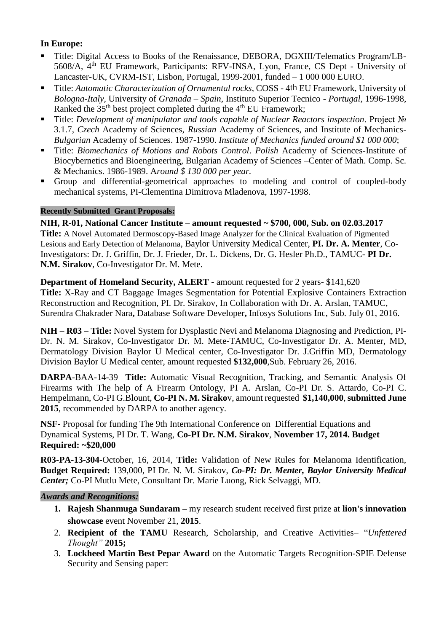## **In Europe:**

- Title: Digital Access to Books of the Renaissance, DEBORA, DGXIII/Telematics Program/LB-5608/A, 4th EU Framework, Participants: RFV-INSA, Lyon, France, CS Dept - University of Lancaster-UK, CVRM-IST, Lisbon, Portugal, 1999-2001, funded – 1 000 000 EURO.
- Title: *Automatic Characterization of Ornamental rocks*, COSS 4th EU Framework, University of *Bologna-Italy,* University of *Granada – Spain*, Instituto Superior Tecnico - *Portugal,* 1996-1998, Ranked the  $35<sup>th</sup>$  best project completed during the  $4<sup>th</sup>$  EU Framework;
- Title: *Development of manipulator and tools capable of Nuclear Reactors inspection*. Project № 3.1.7, *Czech* Academy of Sciences, *Russian* Academy of Sciences, and Institute of Mechanics-*Bulgarian* Academy of Sciences. 1987-1990. *Institute of Mechanics funded around \$1 000 000*;
- Title: *Biomechanics of Motions and Robots Control*. *Polish* Academy of Sciences-Institute of Biocybernetics and Bioengineering, Bulgarian Academy of Sciences –Center of Math. Comp. Sc. & Mechanics. 1986-1989. A*round \$ 130 000 per year.*
- Group and differential-geometrical approaches to modeling and control of coupled-body mechanical systems, PI-Clementina Dimitrova Mladenova, 1997-1998.

#### **Recently Submitted Grant Proposals:**

**NIH, R-01, National Cancer Institute – amount requested ~ \$700, 000, Sub. on 02.03.2017 Title:** A Novel Automated Dermoscopy-Based Image Analyzer for the Clinical Evaluation of Pigmented Lesions and Early Detection of Melanoma, Baylor University Medical Center, **PI. Dr. A. Menter**, Co-Investigators: Dr. J. Griffin, Dr. J. Frieder, Dr. L. Dickens, Dr. G. Hesler Ph.D., TAMUC- **PI Dr. N.M. Sirakov**, Co-Investigator Dr. M. Mete.

**Department of Homeland Security, ALERT -** amount requested for 2 years- \$141,620 **Title:** X-Ray and CT Baggage Images Segmentation for Potential Explosive Containers Extraction Reconstruction and Recognition, PI. Dr. Sirakov, In Collaboration with Dr. A. Arslan, TAMUC, Surendra Chakrader Nara**,** Database Software Developer**,** Infosys Solutions Inc, Sub. July 01, 2016.

**NIH – R03 – Title:** Novel System for Dysplastic Nevi and Melanoma Diagnosing and Prediction, PI-Dr. N. M. Sirakov, Co-Investigator Dr. M. Mete-TAMUC, Co-Investigator Dr. A. Menter, MD, Dermatology Division Baylor U Medical center, Co-Investigator Dr. J.Griffin MD, Dermatology Division Baylor U Medical center, amount requested **\$132,000**,Sub. February 26, 2016.

**DARPA**-BAA-14-39 **Title:** Automatic Visual Recognition, Tracking, and Semantic Analysis Of Firearms with The help of A Firearm Ontology, PI A. Arslan, Co-PI Dr. S. Attardo, Co-PI C. Hempelmann, Co-PI G.Blount, **Co-PI N. M. Sirako**v, amount requested **\$1,140,000**, **submitted June 2015**, recommended by DARPA to another agency.

**NSF-** Proposal for funding The 9th International Conference onDifferential Equations and Dynamical Systems, PI Dr. T. Wang, **Co-PI Dr. N.M. Sirakov**, **November 17, 2014. Budget Required: ~\$20,000**

**R03-PA-13-304-**October, 16, 2014, **Title:** Validation of New Rules for Melanoma Identification, **Budget Required:** 139,000, PI Dr. N. M. Sirakov, *Co-PI: Dr. Menter, Baylor University Medical Center;* Co-PI Mutlu Mete, Consultant Dr. Marie Luong, Rick Selvaggi, MD.

## *Awards and Recognitions:*

- **1. Rajesh Shanmuga Sundaram –** my research student received first prize at **lion's innovation showcase** event November 21, **2015**.
- 2. **Recipient of the TAMU** Research, Scholarship, and Creative Activities– "*Unfettered Thought"* **2015;**
- 3. **Lockheed Martin Best Pepar Award** on the Automatic Targets Recognition-SPIE Defense Security and Sensing paper: